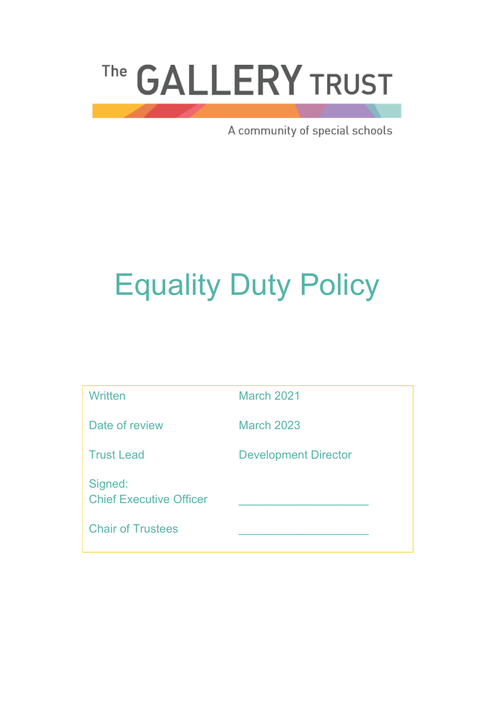# The GALLERY TRUST

A community of special schools

# Equality Duty Policy

| Written                                   | <b>March 2021</b>           |
|-------------------------------------------|-----------------------------|
| Date of review                            | <b>March 2023</b>           |
| <b>Trust Lead</b>                         | <b>Development Director</b> |
| Signed:<br><b>Chief Executive Officer</b> |                             |
| <b>Chair of Trustees</b>                  |                             |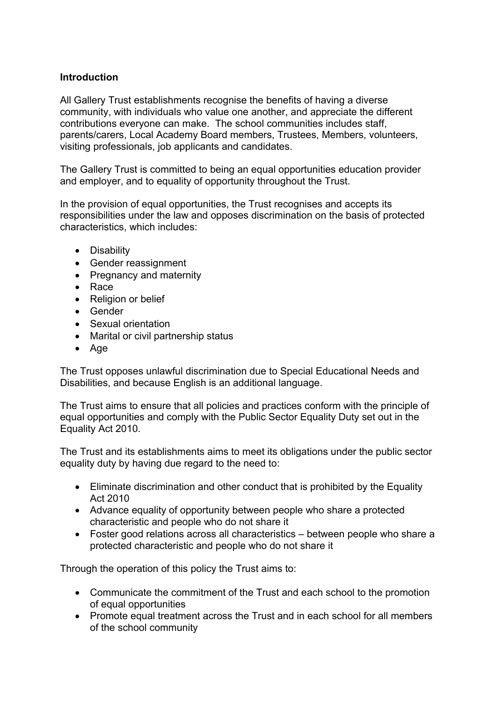# **Introduction**

All Gallery Trust establishments recognise the benefits of having a diverse community, with individuals who value one another, and appreciate the different contributions everyone can make. The school communities includes staff, parents/carers, Local Academy Board members, Trustees, Members, volunteers, visiting professionals, job applicants and candidates.

The Gallery Trust is committed to being an equal opportunities education provider and employer, and to equality of opportunity throughout the Trust.

In the provision of equal opportunities, the Trust recognises and accepts its responsibilities under the law and opposes discrimination on the basis of protected characteristics, which includes:

- Disability
- Gender reassignment
- Pregnancy and maternity
- Race
- Religion or belief
- Gender
- Sexual orientation
- Marital or civil partnership status
- Age

The Trust opposes unlawful discrimination due to Special Educational Needs and Disabilities, and because English is an additional language.

The Trust aims to ensure that all policies and practices conform with the principle of equal opportunities and comply with the Public Sector Equality Duty set out in the Equality Act 2010.

The Trust and its establishments aims to meet its obligations under the public sector equality duty by having due regard to the need to:

- Eliminate discrimination and other conduct that is prohibited by the Equality Act 2010
- Advance equality of opportunity between people who share a protected characteristic and people who do not share it
- Foster good relations across all characteristics between people who share a protected characteristic and people who do not share it

Through the operation of this policy the Trust aims to:

- Communicate the commitment of the Trust and each school to the promotion of equal opportunities
- Promote equal treatment across the Trust and in each school for all members of the school community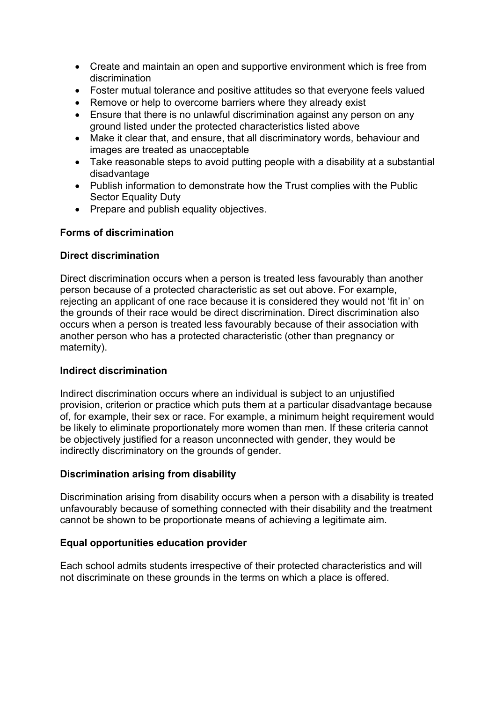- Create and maintain an open and supportive environment which is free from discrimination
- Foster mutual tolerance and positive attitudes so that everyone feels valued
- Remove or help to overcome barriers where they already exist
- Ensure that there is no unlawful discrimination against any person on any ground listed under the protected characteristics listed above
- Make it clear that, and ensure, that all discriminatory words, behaviour and images are treated as unacceptable
- Take reasonable steps to avoid putting people with a disability at a substantial disadvantage
- Publish information to demonstrate how the Trust complies with the Public Sector Equality Duty
- Prepare and publish equality objectives.

#### **Forms of discrimination**

#### **Direct discrimination**

Direct discrimination occurs when a person is treated less favourably than another person because of a protected characteristic as set out above. For example, rejecting an applicant of one race because it is considered they would not 'fit in' on the grounds of their race would be direct discrimination. Direct discrimination also occurs when a person is treated less favourably because of their association with another person who has a protected characteristic (other than pregnancy or maternity).

#### **Indirect discrimination**

Indirect discrimination occurs where an individual is subject to an unjustified provision, criterion or practice which puts them at a particular disadvantage because of, for example, their sex or race. For example, a minimum height requirement would be likely to eliminate proportionately more women than men. If these criteria cannot be objectively justified for a reason unconnected with gender, they would be indirectly discriminatory on the grounds of gender.

#### **Discrimination arising from disability**

Discrimination arising from disability occurs when a person with a disability is treated unfavourably because of something connected with their disability and the treatment cannot be shown to be proportionate means of achieving a legitimate aim.

#### **Equal opportunities education provider**

Each school admits students irrespective of their protected characteristics and will not discriminate on these grounds in the terms on which a place is offered.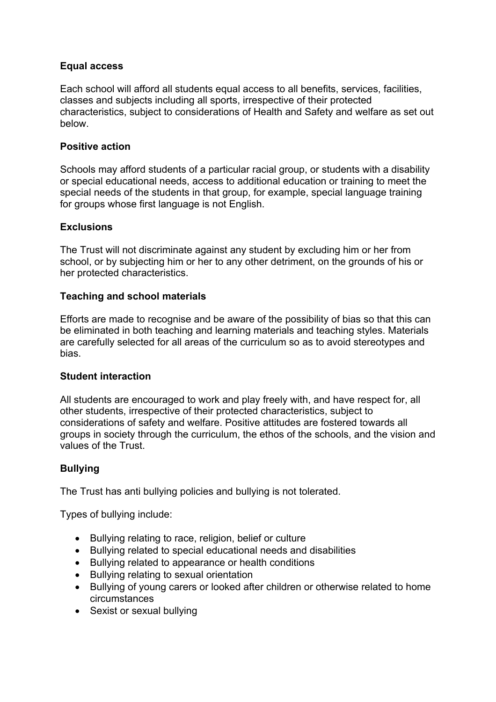# **Equal access**

Each school will afford all students equal access to all benefits, services, facilities, classes and subjects including all sports, irrespective of their protected characteristics, subject to considerations of Health and Safety and welfare as set out below.

#### **Positive action**

Schools may afford students of a particular racial group, or students with a disability or special educational needs, access to additional education or training to meet the special needs of the students in that group, for example, special language training for groups whose first language is not English.

#### **Exclusions**

The Trust will not discriminate against any student by excluding him or her from school, or by subjecting him or her to any other detriment, on the grounds of his or her protected characteristics.

#### **Teaching and school materials**

Efforts are made to recognise and be aware of the possibility of bias so that this can be eliminated in both teaching and learning materials and teaching styles. Materials are carefully selected for all areas of the curriculum so as to avoid stereotypes and bias.

#### **Student interaction**

All students are encouraged to work and play freely with, and have respect for, all other students, irrespective of their protected characteristics, subject to considerations of safety and welfare. Positive attitudes are fostered towards all groups in society through the curriculum, the ethos of the schools, and the vision and values of the Trust.

#### **Bullying**

The Trust has anti bullying policies and bullying is not tolerated.

Types of bullying include:

- Bullying relating to race, religion, belief or culture
- Bullying related to special educational needs and disabilities
- Bullying related to appearance or health conditions
- Bullying relating to sexual orientation
- Bullying of young carers or looked after children or otherwise related to home circumstances
- Sexist or sexual bullying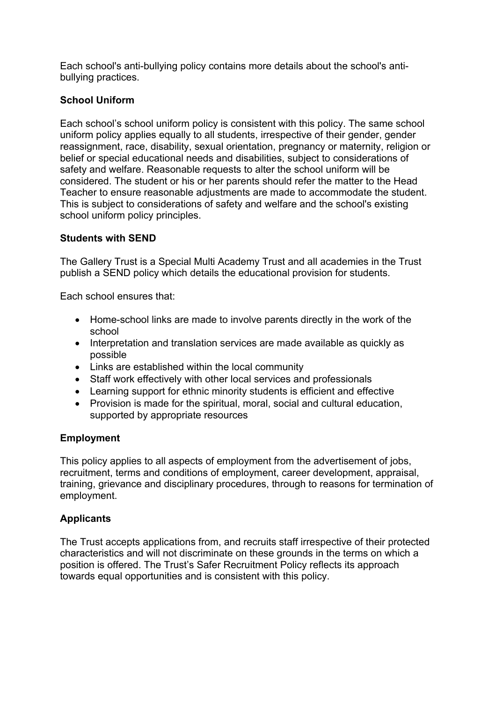Each school's anti-bullying policy contains more details about the school's antibullying practices.

# **School Uniform**

Each school's school uniform policy is consistent with this policy. The same school uniform policy applies equally to all students, irrespective of their gender, gender reassignment, race, disability, sexual orientation, pregnancy or maternity, religion or belief or special educational needs and disabilities, subject to considerations of safety and welfare. Reasonable requests to alter the school uniform will be considered. The student or his or her parents should refer the matter to the Head Teacher to ensure reasonable adjustments are made to accommodate the student. This is subject to considerations of safety and welfare and the school's existing school uniform policy principles.

# **Students with SEND**

The Gallery Trust is a Special Multi Academy Trust and all academies in the Trust publish a SEND policy which details the educational provision for students.

Each school ensures that:

- Home-school links are made to involve parents directly in the work of the school
- Interpretation and translation services are made available as quickly as possible
- Links are established within the local community
- Staff work effectively with other local services and professionals
- Learning support for ethnic minority students is efficient and effective
- Provision is made for the spiritual, moral, social and cultural education, supported by appropriate resources

# **Employment**

This policy applies to all aspects of employment from the advertisement of jobs, recruitment, terms and conditions of employment, career development, appraisal, training, grievance and disciplinary procedures, through to reasons for termination of employment.

# **Applicants**

The Trust accepts applications from, and recruits staff irrespective of their protected characteristics and will not discriminate on these grounds in the terms on which a position is offered. The Trust's Safer Recruitment Policy reflects its approach towards equal opportunities and is consistent with this policy.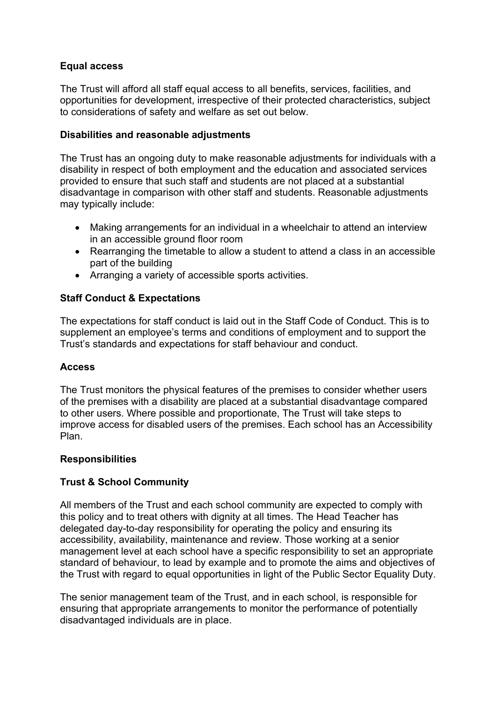# **Equal access**

The Trust will afford all staff equal access to all benefits, services, facilities, and opportunities for development, irrespective of their protected characteristics, subject to considerations of safety and welfare as set out below.

# **Disabilities and reasonable adjustments**

The Trust has an ongoing duty to make reasonable adjustments for individuals with a disability in respect of both employment and the education and associated services provided to ensure that such staff and students are not placed at a substantial disadvantage in comparison with other staff and students. Reasonable adjustments may typically include:

- Making arrangements for an individual in a wheelchair to attend an interview in an accessible ground floor room
- Rearranging the timetable to allow a student to attend a class in an accessible part of the building
- Arranging a variety of accessible sports activities.

# **Staff Conduct & Expectations**

The expectations for staff conduct is laid out in the Staff Code of Conduct. This is to supplement an employee's terms and conditions of employment and to support the Trust's standards and expectations for staff behaviour and conduct.

#### **Access**

The Trust monitors the physical features of the premises to consider whether users of the premises with a disability are placed at a substantial disadvantage compared to other users. Where possible and proportionate, The Trust will take steps to improve access for disabled users of the premises. Each school has an Accessibility Plan.

#### **Responsibilities**

#### **Trust & School Community**

All members of the Trust and each school community are expected to comply with this policy and to treat others with dignity at all times. The Head Teacher has delegated day-to-day responsibility for operating the policy and ensuring its accessibility, availability, maintenance and review. Those working at a senior management level at each school have a specific responsibility to set an appropriate standard of behaviour, to lead by example and to promote the aims and objectives of the Trust with regard to equal opportunities in light of the Public Sector Equality Duty.

The senior management team of the Trust, and in each school, is responsible for ensuring that appropriate arrangements to monitor the performance of potentially disadvantaged individuals are in place.